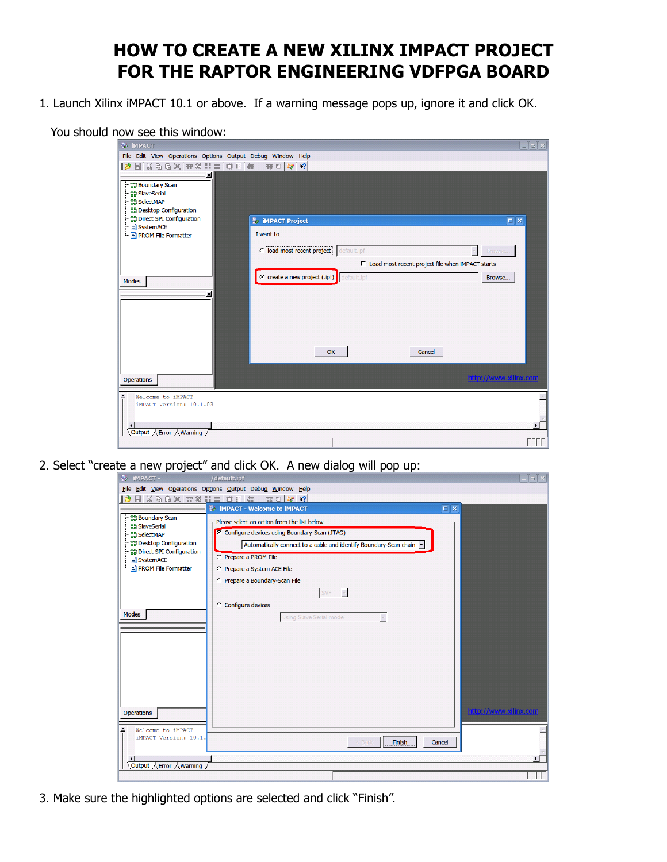## **HOW TO CREATE A NEW XILINX IMPACT PROJECT FOR THE RAPTOR ENGINEERING VDFPGA BOARD**

1. Launch Xilinx iMPACT 10.1 or above. If a warning message pops up, ignore it and click OK.

You should now see this window:

| now see this window:                                                                                                                                                                            |                                                    |                                                    |        |                       |
|-------------------------------------------------------------------------------------------------------------------------------------------------------------------------------------------------|----------------------------------------------------|----------------------------------------------------|--------|-----------------------|
| <b>E</b> iMPACT                                                                                                                                                                                 |                                                    |                                                    |        | $\mathbb{R}$ $\times$ |
| File Edit View Operations Options Output Debug Window Help                                                                                                                                      |                                                    |                                                    |        |                       |
| $\overline{\mathbf{B}}$ $\overline{\mathbf{B}}$ $\overline{\mathbf{B}}$ $\overline{\mathbf{B}}$ $\overline{\mathbf{B}}$ $\overline{\mathbf{B}}$ $\overline{\mathbf{B}}$ $\overline{\mathbf{B}}$ | $\frac{-b\,m_1}{\ln m}$<br>■ 8 秒<br>$\mathbb{R}^2$ |                                                    |        |                       |
| $\vert x \vert$                                                                                                                                                                                 |                                                    |                                                    |        |                       |
| <b>Boundary Scan</b>                                                                                                                                                                            |                                                    |                                                    |        |                       |
| <b>Big SlaveSerial</b>                                                                                                                                                                          |                                                    |                                                    |        |                       |
| $\frac{160}{100}$ SelectMAP<br>and Desktop Configuration                                                                                                                                        |                                                    |                                                    |        |                       |
| $\frac{100}{100}$ Direct SPI Configuration                                                                                                                                                      | <b>N</b> iMPACT Project                            |                                                    |        | $\Box$ $\times$       |
| SystemACE                                                                                                                                                                                       |                                                    |                                                    |        |                       |
| PROM File Formatter                                                                                                                                                                             | I want to                                          |                                                    |        |                       |
|                                                                                                                                                                                                 | C load most recent project                         | default.ipf                                        |        |                       |
|                                                                                                                                                                                                 |                                                    |                                                    |        | Browse                |
|                                                                                                                                                                                                 |                                                    | □ Load most recent project file when iMPACT starts |        |                       |
|                                                                                                                                                                                                 | <b>G</b> create a new project (.ipf) default.ipf   |                                                    |        | Browse                |
| <b>Modes</b>                                                                                                                                                                                    |                                                    |                                                    |        |                       |
| $\boldsymbol{\mathsf{x}}$                                                                                                                                                                       |                                                    |                                                    |        |                       |
|                                                                                                                                                                                                 |                                                    |                                                    |        |                       |
|                                                                                                                                                                                                 |                                                    |                                                    |        |                       |
|                                                                                                                                                                                                 |                                                    |                                                    |        |                       |
|                                                                                                                                                                                                 |                                                    |                                                    |        |                       |
|                                                                                                                                                                                                 |                                                    |                                                    |        |                       |
|                                                                                                                                                                                                 | OK                                                 |                                                    | Cancel |                       |
|                                                                                                                                                                                                 |                                                    |                                                    |        |                       |
|                                                                                                                                                                                                 |                                                    |                                                    |        | http://www.xilinx.com |
| <b>Operations</b>                                                                                                                                                                               |                                                    |                                                    |        |                       |
| ×<br>Welcome to iMPACT                                                                                                                                                                          |                                                    |                                                    |        |                       |
| iMPACT Version: 10.1.03                                                                                                                                                                         |                                                    |                                                    |        |                       |
|                                                                                                                                                                                                 |                                                    |                                                    |        |                       |
|                                                                                                                                                                                                 |                                                    |                                                    |        |                       |
| Output $\wedge$ Error $\wedge$ Warning                                                                                                                                                          |                                                    |                                                    |        |                       |
|                                                                                                                                                                                                 |                                                    |                                                    |        |                       |

2. Select "create a new project" and click OK. A new dialog will pop up:

| File Edit View Operations Options Output Debug Window Help                                                                                                                                                                                                                                                                                                                                                                              |
|-----------------------------------------------------------------------------------------------------------------------------------------------------------------------------------------------------------------------------------------------------------------------------------------------------------------------------------------------------------------------------------------------------------------------------------------|
|                                                                                                                                                                                                                                                                                                                                                                                                                                         |
| 日 ※ 日 百 × 【 書 ※ 11 : 1 ( 由 : 「書<br>- 豊口教图<br>$\mathbb B$                                                                                                                                                                                                                                                                                                                                                                                |
| <b>W</b> iMPACT - Welcome to iMPACT<br><b>DX</b>                                                                                                                                                                                                                                                                                                                                                                                        |
| 읇 Boundary Scan<br>Please select an action from the list below-<br>$P1$ SlaveSerial<br>Configure devices using Boundary-Scan (JTAG)<br>음 SelectMAP<br>음 Desktop Configuration<br>Automatically connect to a cable and identify Boundary-Scan chain v<br>읿 Direct SPI Configuration<br>C Prepare a PROM File<br>SystemACE<br>PROM File Formatter<br>C Prepare a System ACE File<br>C Prepare a Boundary-Scan File<br>$SVF$ $\rightarrow$ |
| $\cap$ Configure devices<br><b>Modes</b><br>using Slave Serial mode                                                                                                                                                                                                                                                                                                                                                                     |
| http://www.xilinx.com<br><b>Operations</b><br>×<br>Welcome to iMPACT                                                                                                                                                                                                                                                                                                                                                                    |
| iMPACT Version: 10.1.<br>Einish<br>$<$ Back<br>Cancel                                                                                                                                                                                                                                                                                                                                                                                   |
| Output $\wedge$ Error $\wedge$ Warning                                                                                                                                                                                                                                                                                                                                                                                                  |
|                                                                                                                                                                                                                                                                                                                                                                                                                                         |

3. Make sure the highlighted options are selected and click "Finish".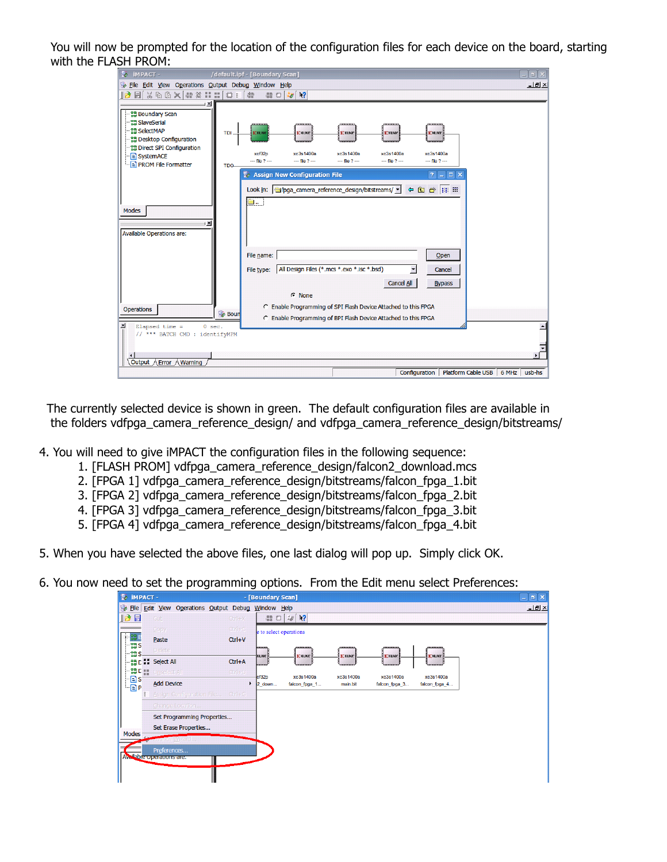You will now be prompted for the location of the configuration files for each device on the board, starting with the FLASH PROM:

| MPACT -                                                                                                                                                                           | /default.ipf - [Boundary Scan]                                                                                                                                                                                                                                     | 日                  |
|-----------------------------------------------------------------------------------------------------------------------------------------------------------------------------------|--------------------------------------------------------------------------------------------------------------------------------------------------------------------------------------------------------------------------------------------------------------------|--------------------|
| File Edit View Operations Output Debug Window Help                                                                                                                                |                                                                                                                                                                                                                                                                    | $\Box$ el $\times$ |
| 日 ※ 6 6 × # ※ ::: 0 0 0 1 #                                                                                                                                                       | # 0 2 12                                                                                                                                                                                                                                                           |                    |
| $B2$ Boundary Scan<br><b>Manufacture</b><br><b>請SelectMAP</b><br>圖 Desktop Configuration<br>$\frac{100}{100}$ Direct SPI Configuration<br>SystemACE<br><b>PROM File Formatter</b> | <b>EXILINX</b><br>EXILINX<br><b>EXILINX</b><br><b>EXILINX</b><br>TDI<br><b>EXILINX</b><br>xcf32p<br>xc3s1400a<br>xc3s1400a<br>xc3s1400a<br>xc3s1400a<br>$-$ file $? -$<br>$-$ file $? -$<br>$-$ file $? -$<br>$-$ file $? -$<br>$-$ file $? -$<br>TDO <sub>-</sub> |                    |
| <b>Modes</b><br><b>Available Operations are:</b>                                                                                                                                  | Assign New Configuration File<br>$?$ $ \Box$ $\times$<br>Look in: httpga_camera_reference_design/bitstreams/ $\mathbf{v}$ $\Leftrightarrow$ $\mathbf{E}$ of $\mathbf{E}$ if $\mathbf{E}$<br>٦.                                                                     |                    |
| <b>Operations</b>                                                                                                                                                                 | File name:<br>Qpen<br>All Design Files (*.mcs *.exo *.isc *.bsd)<br>$\blacksquare$<br>File type:<br>Cancel<br><b>Cancel All</b><br><b>Bypass</b><br>$G$ None<br>C Enable Programming of SPI Flash Device Attached to this FPGA                                     |                    |
| $\boldsymbol{\mathsf{x}}$<br>$E$ lapsed time =<br>$0$ sec.<br>// *** BATCH CMD : identifyMPM<br>Output $\wedge$ Error $\wedge$ Warning                                            | <b>Boun</b><br>C Enable Programming of BPI Flash Device Attached to this FPGA                                                                                                                                                                                      |                    |
|                                                                                                                                                                                   | Configuration Platform Cable USB 6 MHz usb-hs                                                                                                                                                                                                                      |                    |

 The currently selected device is shown in green. The default configuration files are available in the folders vdfpga\_camera\_reference\_design/ and vdfpga\_camera\_reference\_design/bitstreams/

- 4. You will need to give iMPACT the configuration files in the following sequence:
	- 1. [FLASH PROM] vdfpga\_camera\_reference\_design/falcon2\_download.mcs
	- 2. [FPGA 1] vdfpga\_camera\_reference\_design/bitstreams/falcon\_fpga\_1.bit
	- 3. [FPGA 2] vdfpga\_camera\_reference\_design/bitstreams/falcon\_fpga\_2.bit
	- 4. [FPGA 3] vdfpga\_camera\_reference\_design/bitstreams/falcon\_fpga\_3.bit
	- 5. [FPGA 4] vdfpga\_camera\_reference\_design/bitstreams/falcon\_fpga\_4.bit
- 5. When you have selected the above files, one last dialog will pop up. Simply click OK.
- 6. You now need to set the programming options. From the Edit menu select Preferences:

|                                                    |                                               | ້           |                        |                                              |                                        |                                              |                |                    |
|----------------------------------------------------|-----------------------------------------------|-------------|------------------------|----------------------------------------------|----------------------------------------|----------------------------------------------|----------------|--------------------|
| <b>IMPACT -</b><br>B.                              |                                               |             | - [Boundary Scan]      |                                              |                                        |                                              |                | $ \theta$ $\times$ |
| Eile<br>5                                          | Edit View Operations Output Debug Window Help |             |                        |                                              |                                        |                                              |                | $\frac{18}{2}$     |
| 2日                                                 | Cut                                           | $Ctr I + X$ | 豊の                     | R <sub>2</sub><br>$\mathcal{L}(\mathcal{S})$ |                                        |                                              |                |                    |
|                                                    | Copy                                          | $Ctr +C$    | e to select operations |                                              |                                        |                                              |                |                    |
| ᇣ                                                  | Paste                                         | $Ctrl + V$  |                        |                                              |                                        |                                              |                |                    |
| 鵲S<br>៉ូងូន                                        | <b>Delete</b>                                 |             | <b>XILINX</b>          | <b>CHOCHOCHO</b><br><b>EXILINX</b>           | <b>DISTURBANCING</b><br><b>EXILINX</b> | <b><i><u>INNUM</u></i></b><br><b>EXILINX</b> | <b>EXILINX</b> |                    |
| 體                                                  | <b>NE</b> Select All                          | $Ctrl+A$    |                        |                                              |                                        |                                              | <b>URRAN</b>   |                    |
| <b>BOD</b> III                                     | <b>Unselect All</b>                           | $Ctrl + U$  | cf32p                  | xc3s1400a                                    | xc3s1400a                              | xc3s1400a                                    | xc3s1400a      |                    |
| 国s<br>$\blacksquare$ $\blacksquare$ $\blacksquare$ | <b>Add Device</b>                             | ٠           | 2 down                 | falcon_fpga_1                                | main.bit                               | falcon_fpga_3                                | falcon_fpga_4  |                    |
|                                                    | Assign Configuration File Ctrl+G              |             |                        |                                              |                                        |                                              |                |                    |
|                                                    | Change Location                               |             |                        |                                              |                                        |                                              |                |                    |
|                                                    | Set Programming Properties                    |             |                        |                                              |                                        |                                              |                |                    |
|                                                    | Set Erase Properties                          |             |                        |                                              |                                        |                                              |                |                    |
| Modes                                              | <b>Andalug</b> ion Wizard                     |             |                        |                                              |                                        |                                              |                |                    |
|                                                    | Preferences                                   |             |                        |                                              |                                        |                                              |                |                    |
|                                                    | Available operations are.                     |             |                        |                                              |                                        |                                              |                |                    |
|                                                    |                                               |             |                        |                                              |                                        |                                              |                |                    |
|                                                    |                                               |             |                        |                                              |                                        |                                              |                |                    |